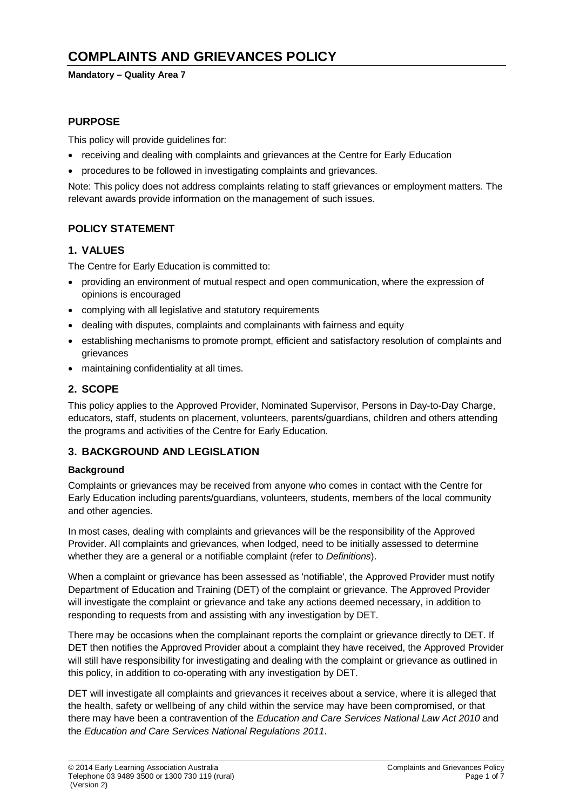# **COMPLAINTS AND GRIEVANCES POLICY**

#### **Mandatory – Quality Area 7**

# **PURPOSE**

This policy will provide guidelines for:

- receiving and dealing with complaints and grievances at the Centre for Early Education
- procedures to be followed in investigating complaints and grievances.

Note: This policy does not address complaints relating to staff grievances or employment matters. The relevant awards provide information on the management of such issues.

# **POLICY STATEMENT**

# **1. VALUES**

The Centre for Early Education is committed to:

- providing an environment of mutual respect and open communication, where the expression of opinions is encouraged
- complying with all legislative and statutory requirements
- dealing with disputes, complaints and complainants with fairness and equity
- establishing mechanisms to promote prompt, efficient and satisfactory resolution of complaints and grievances
- maintaining confidentiality at all times.

# **2. SCOPE**

This policy applies to the Approved Provider, Nominated Supervisor, Persons in Day-to-Day Charge, educators, staff, students on placement, volunteers, parents/guardians, children and others attending the programs and activities of the Centre for Early Education.

#### **3. BACKGROUND AND LEGISLATION**

#### **Background**

Complaints or grievances may be received from anyone who comes in contact with the Centre for Early Education including parents/guardians, volunteers, students, members of the local community and other agencies.

In most cases, dealing with complaints and grievances will be the responsibility of the Approved Provider. All complaints and grievances, when lodged, need to be initially assessed to determine whether they are a general or a notifiable complaint (refer to *Definitions*).

When a complaint or grievance has been assessed as 'notifiable', the Approved Provider must notify Department of Education and Training (DET) of the complaint or grievance. The Approved Provider will investigate the complaint or grievance and take any actions deemed necessary, in addition to responding to requests from and assisting with any investigation by DET.

There may be occasions when the complainant reports the complaint or grievance directly to DET. If DET then notifies the Approved Provider about a complaint they have received, the Approved Provider will still have responsibility for investigating and dealing with the complaint or grievance as outlined in this policy, in addition to co-operating with any investigation by DET.

DET will investigate all complaints and grievances it receives about a service, where it is alleged that the health, safety or wellbeing of any child within the service may have been compromised, or that there may have been a contravention of the *Education and Care Services National Law Act 2010* and the *Education and Care Services National Regulations 2011*.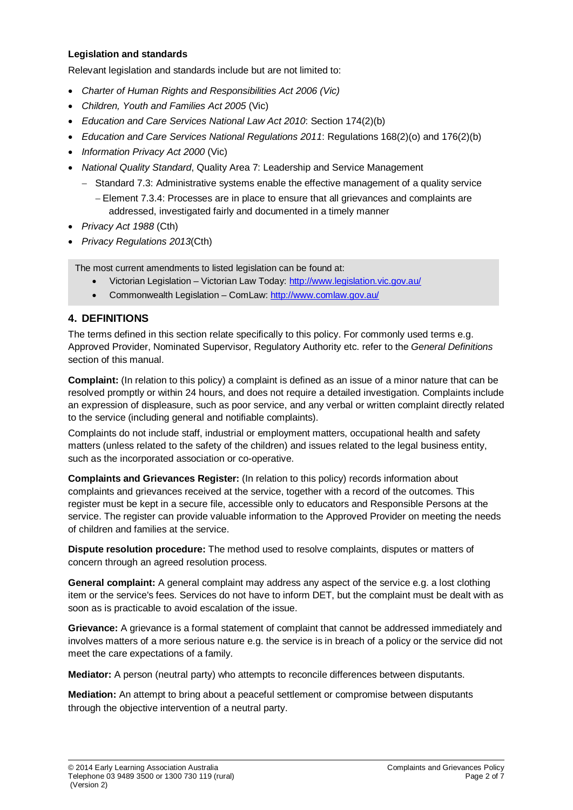#### **Legislation and standards**

Relevant legislation and standards include but are not limited to:

- *Charter of Human Rights and Responsibilities Act 2006 (Vic)*
- *Children, Youth and Families Act 2005* (Vic)
- *Education and Care Services National Law Act 2010*: Section 174(2)(b)
- *Education and Care Services National Regulations 2011*: Regulations 168(2)(o) and 176(2)(b)
- *Information Privacy Act 2000* (Vic)
- *National Quality Standard*, Quality Area 7: Leadership and Service Management
	- − Standard 7.3: Administrative systems enable the effective management of a quality service
		- − Element 7.3.4: Processes are in place to ensure that all grievances and complaints are addressed, investigated fairly and documented in a timely manner
- *Privacy Act 1988* (Cth)
- *Privacy Regulations 2013*(Cth)

The most current amendments to listed legislation can be found at:

- Victorian Legislation Victorian Law Today:<http://www.legislation.vic.gov.au/>
- Commonwealth Legislation ComLaw:<http://www.comlaw.gov.au/>

# **4. DEFINITIONS**

The terms defined in this section relate specifically to this policy. For commonly used terms e.g. Approved Provider, Nominated Supervisor, Regulatory Authority etc. refer to the *General Definitions* section of this manual.

**Complaint:** (In relation to this policy) a complaint is defined as an issue of a minor nature that can be resolved promptly or within 24 hours, and does not require a detailed investigation. Complaints include an expression of displeasure, such as poor service, and any verbal or written complaint directly related to the service (including general and notifiable complaints).

Complaints do not include staff, industrial or employment matters, occupational health and safety matters (unless related to the safety of the children) and issues related to the legal business entity, such as the incorporated association or co-operative.

**Complaints and Grievances Register:** (In relation to this policy) records information about complaints and grievances received at the service, together with a record of the outcomes. This register must be kept in a secure file, accessible only to educators and Responsible Persons at the service. The register can provide valuable information to the Approved Provider on meeting the needs of children and families at the service.

**Dispute resolution procedure:** The method used to resolve complaints, disputes or matters of concern through an agreed resolution process.

**General complaint:** A general complaint may address any aspect of the service e.g. a lost clothing item or the service's fees. Services do not have to inform DET, but the complaint must be dealt with as soon as is practicable to avoid escalation of the issue.

**Grievance:** A grievance is a formal statement of complaint that cannot be addressed immediately and involves matters of a more serious nature e.g. the service is in breach of a policy or the service did not meet the care expectations of a family.

**Mediator:** A person (neutral party) who attempts to reconcile differences between disputants.

**Mediation:** An attempt to bring about a peaceful settlement or compromise between disputants through the objective intervention of a neutral party.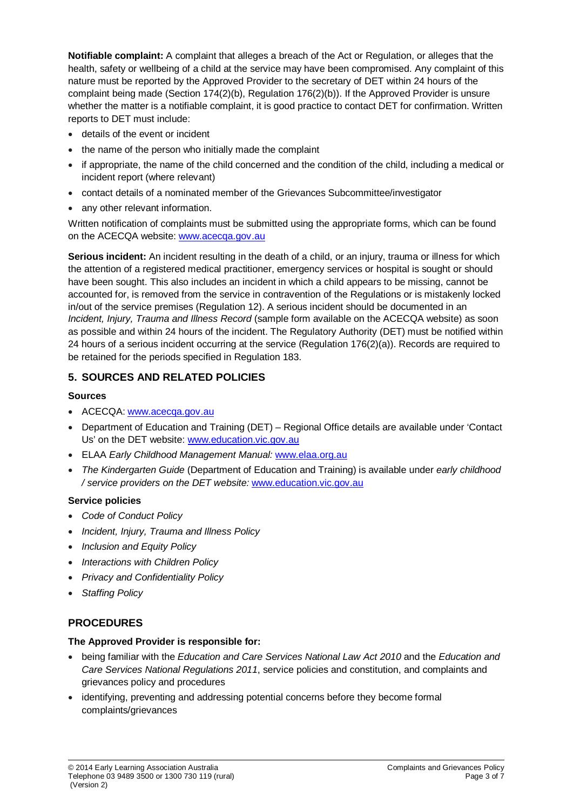**Notifiable complaint:** A complaint that alleges a breach of the Act or Regulation, or alleges that the health, safety or wellbeing of a child at the service may have been compromised. Any complaint of this nature must be reported by the Approved Provider to the secretary of DET within 24 hours of the complaint being made (Section 174(2)(b), Regulation 176(2)(b)). If the Approved Provider is unsure whether the matter is a notifiable complaint, it is good practice to contact DET for confirmation. Written reports to DET must include:

- details of the event or incident
- the name of the person who initially made the complaint
- if appropriate, the name of the child concerned and the condition of the child, including a medical or incident report (where relevant)
- contact details of a nominated member of the Grievances Subcommittee/investigator
- any other relevant information.

Written notification of complaints must be submitted using the appropriate forms, which can be found on the ACECQA website: [www.acecqa.gov.au](http://www.acecqa.gov.au/)

**Serious incident:** An incident resulting in the death of a child, or an injury, trauma or illness for which the attention of a registered medical practitioner, emergency services or hospital is sought or should have been sought. This also includes an incident in which a child appears to be missing, cannot be accounted for, is removed from the service in contravention of the Regulations or is mistakenly locked in/out of the service premises (Regulation 12). A serious incident should be documented in an *Incident, Injury, Trauma and Illness Record* (sample form available on the ACECQA website) as soon as possible and within 24 hours of the incident. The Regulatory Authority (DET) must be notified within 24 hours of a serious incident occurring at the service (Regulation 176(2)(a)). Records are required to be retained for the periods specified in Regulation 183.

# **5. SOURCES AND RELATED POLICIES**

# **Sources**

- ACECQA: [www.acecqa.gov.au](http://www.acecqa.gov.au/)
- Department of Education and Training (DET) Regional Office details are available under 'Contact Us' on the DET website: [www.education.vic.gov.au](http://www.education.vic.gov.au/)
- ELAA *Early Childhood Management Manual:* [www.elaa.org.au](http://www.elaa.org.au/)
- *The Kindergarten Guide* (Department of Education and Training) is available under *early childhood / service providers on the DET website:* [www.education.vic.gov.au](http://www.education.vic.gov.au/)

# **Service policies**

- *Code of Conduct Policy*
- *Incident, Injury, Trauma and Illness Policy*
- *Inclusion and Equity Policy*
- *Interactions with Children Policy*
- *Privacy and Confidentiality Policy*
- *Staffing Policy*

# **PROCEDURES**

#### **The Approved Provider is responsible for:**

- being familiar with the *Education and Care Services National Law Act 2010* and the *Education and Care Services National Regulations 2011*, service policies and constitution, and complaints and grievances policy and procedures
- identifying, preventing and addressing potential concerns before they become formal complaints/grievances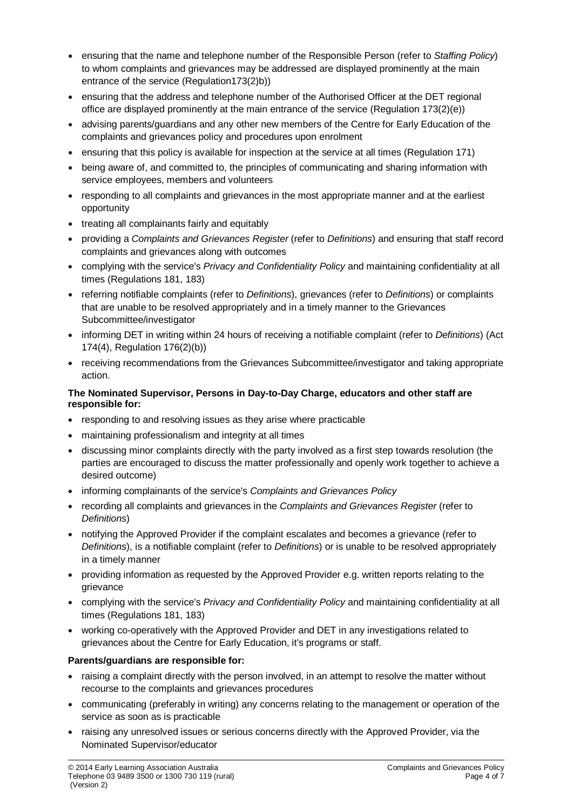- ensuring that the name and telephone number of the Responsible Person (refer to *Staffing Policy*) to whom complaints and grievances may be addressed are displayed prominently at the main entrance of the service (Regulation173(2)b))
- ensuring that the address and telephone number of the Authorised Officer at the DET regional office are displayed prominently at the main entrance of the service (Regulation 173(2)(e))
- advising parents/guardians and any other new members of the Centre for Early Education of the complaints and grievances policy and procedures upon enrolment
- ensuring that this policy is available for inspection at the service at all times (Regulation 171)
- being aware of, and committed to, the principles of communicating and sharing information with service employees, members and volunteers
- responding to all complaints and grievances in the most appropriate manner and at the earliest opportunity
- treating all complainants fairly and equitably
- providing a *Complaints and Grievances Register* (refer to *Definitions*) and ensuring that staff record complaints and grievances along with outcomes
- complying with the service's *Privacy and Confidentiality Policy* and maintaining confidentiality at all times (Regulations 181, 183)
- referring notifiable complaints (refer to *Definitions*), grievances (refer to *Definitions*) or complaints that are unable to be resolved appropriately and in a timely manner to the Grievances Subcommittee/investigator
- informing DET in writing within 24 hours of receiving a notifiable complaint (refer to *Definitions*) (Act 174(4), Regulation 176(2)(b))
- receiving recommendations from the Grievances Subcommittee/investigator and taking appropriate action.

#### **The Nominated Supervisor, Persons in Day-to-Day Charge, educators and other staff are responsible for:**

- responding to and resolving issues as they arise where practicable
- maintaining professionalism and integrity at all times
- discussing minor complaints directly with the party involved as a first step towards resolution (the parties are encouraged to discuss the matter professionally and openly work together to achieve a desired outcome)
- informing complainants of the service's *Complaints and Grievances Policy*
- recording all complaints and grievances in the *Complaints and Grievances Register* (refer to *Definitions*)
- notifying the Approved Provider if the complaint escalates and becomes a grievance (refer to *Definitions*), is a notifiable complaint (refer to *Definitions*) or is unable to be resolved appropriately in a timely manner
- providing information as requested by the Approved Provider e.g. written reports relating to the grievance
- complying with the service's *Privacy and Confidentiality Policy* and maintaining confidentiality at all times (Regulations 181, 183)
- working co-operatively with the Approved Provider and DET in any investigations related to grievances about the Centre for Early Education, it's programs or staff.

# **Parents/guardians are responsible for:**

- raising a complaint directly with the person involved, in an attempt to resolve the matter without recourse to the complaints and grievances procedures
- communicating (preferably in writing) any concerns relating to the management or operation of the service as soon as is practicable
- raising any unresolved issues or serious concerns directly with the Approved Provider, via the Nominated Supervisor/educator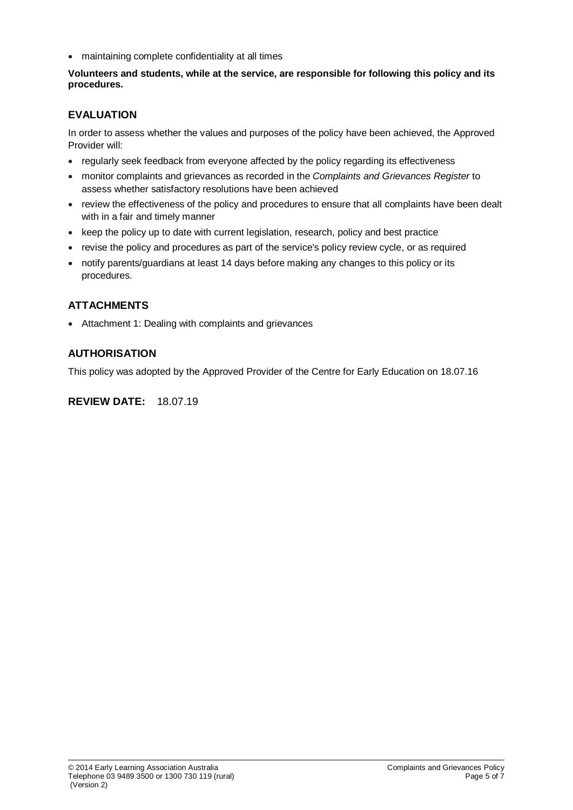• maintaining complete confidentiality at all times

**Volunteers and students, while at the service, are responsible for following this policy and its procedures.**

# **EVALUATION**

In order to assess whether the values and purposes of the policy have been achieved, the Approved Provider will:

- regularly seek feedback from everyone affected by the policy regarding its effectiveness
- monitor complaints and grievances as recorded in the *Complaints and Grievances Register* to assess whether satisfactory resolutions have been achieved
- review the effectiveness of the policy and procedures to ensure that all complaints have been dealt with in a fair and timely manner
- keep the policy up to date with current legislation, research, policy and best practice
- revise the policy and procedures as part of the service's policy review cycle, or as required
- notify parents/guardians at least 14 days before making any changes to this policy or its procedures.

# **ATTACHMENTS**

• Attachment 1: Dealing with complaints and grievances

# **AUTHORISATION**

This policy was adopted by the Approved Provider of the Centre for Early Education on 18.07.16

### **REVIEW DATE:** 18.07.19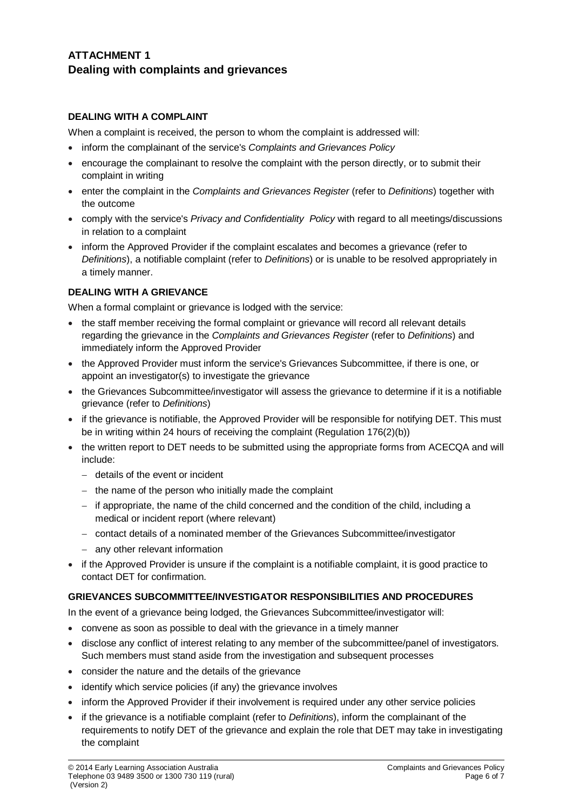# **ATTACHMENT 1 Dealing with complaints and grievances**

### **DEALING WITH A COMPLAINT**

When a complaint is received, the person to whom the complaint is addressed will:

- inform the complainant of the service's *Complaints and Grievances Policy*
- encourage the complainant to resolve the complaint with the person directly, or to submit their complaint in writing
- enter the complaint in the *Complaints and Grievances Register* (refer to *Definitions*) together with the outcome
- comply with the service's *Privacy and Confidentiality Policy* with regard to all meetings/discussions in relation to a complaint
- inform the Approved Provider if the complaint escalates and becomes a grievance (refer to *Definitions*), a notifiable complaint (refer to *Definitions*) or is unable to be resolved appropriately in a timely manner.

# **DEALING WITH A GRIEVANCE**

When a formal complaint or grievance is lodged with the service:

- the staff member receiving the formal complaint or grievance will record all relevant details regarding the grievance in the *Complaints and Grievances Register* (refer to *Definitions*) and immediately inform the Approved Provider
- the Approved Provider must inform the service's Grievances Subcommittee, if there is one, or appoint an investigator(s) to investigate the grievance
- the Grievances Subcommittee/investigator will assess the grievance to determine if it is a notifiable grievance (refer to *Definitions*)
- if the grievance is notifiable, the Approved Provider will be responsible for notifying DET. This must be in writing within 24 hours of receiving the complaint (Regulation 176(2)(b))
- the written report to DET needs to be submitted using the appropriate forms from ACECQA and will include:
	- − details of the event or incident
	- − the name of the person who initially made the complaint
	- − if appropriate, the name of the child concerned and the condition of the child, including a medical or incident report (where relevant)
	- − contact details of a nominated member of the Grievances Subcommittee/investigator
	- − any other relevant information
- if the Approved Provider is unsure if the complaint is a notifiable complaint, it is good practice to contact DET for confirmation.

#### **GRIEVANCES SUBCOMMITTEE/INVESTIGATOR RESPONSIBILITIES AND PROCEDURES**

In the event of a grievance being lodged, the Grievances Subcommittee/investigator will:

- convene as soon as possible to deal with the grievance in a timely manner
- disclose any conflict of interest relating to any member of the subcommittee/panel of investigators. Such members must stand aside from the investigation and subsequent processes
- consider the nature and the details of the grievance
- identify which service policies (if any) the grievance involves
- inform the Approved Provider if their involvement is required under any other service policies
- if the grievance is a notifiable complaint (refer to *Definitions*), inform the complainant of the requirements to notify DET of the grievance and explain the role that DET may take in investigating the complaint